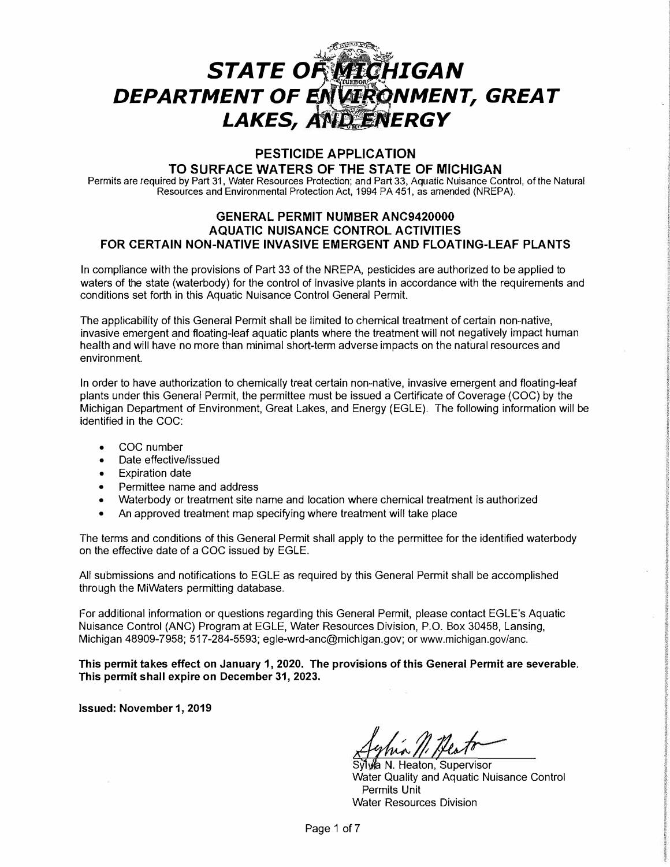# $\frac{1}{2}$ ,  $\frac{1}{2}$ **STATE OF** *MICHIGAN* DEPARTMENT OF ENVIRONMENT, GREAT LAKES, AND ENERGY

## **PESTICIDE APPLICATION**

## **TO SURFACE WATERS OF THE STATE OF MICHIGAN**

Permits are required by Part 31, Water Resources Protection; and Part 33, Aquatic Nuisance Control, of the Natural Resources and Environmental Protection Act, 1994 PA 451, as amended (NREPA).

## **GENERAL PERMIT NUMBER ANC9420000 AQUATIC NUISANCE CONTROL ACTIVITIES FOR CERTAIN NON-NATIVE INVASIVE EMERGENT AND FLOATING-LEAF PLANTS**

In compliance with the provisions of Part 33 of the NREPA, pesticides are authorized to be applied to waters of the state (waterbody) for the control of invasive plants in accordance with the requirements and conditions set forth in this Aquatic Nuisance Control General Permit.

The applicability of this General Permit shall be limited to chemical treatment of certain non-native, invasive emergent and floating-leaf aquatic plants where the treatment will not negatively impact human health and will have no more than minimal short-term adverse impacts on the natural resources and environment.

In order to have authorization to chemically treat certain non-native, invasive emergent and floating-leaf plants under this General Permit, the permittee must be issued a Certificate of Coverage (COG) by the Michigan Department of Environment, Great Lakes, and Energy (EGLE). The following information will be identified in the COG:

- COG number
- Date effective/issued
- Expiration date
- Permittee name and address
- Waterbody or treatment site name and location where chemical treatment is authorized
- An approved treatment map specifying where treatment will take place

The terms and conditions of this General Permit shall apply to the permittee for the identified waterbody on the effective date of a COG issued by EGLE.

All submissions and notifications to EGLE as required by this General Permit shall be accomplished through the MiWaters permitting database.

For additional information or questions regarding this General Permit, please contact EGLE's Aquatic Nuisance Control (ANG) Program at EGLE, Water Resources Division, P.O. Box 30458, Lansing, Michigan 48909-7958; 517-284-5593; egle-wrd-anc@michigan.gov; or www.michigan.gov/anc.

**This permit takes effect on January 1, 2020. The provisions of this General Permit are severable. This permit shall expire on December 31, 2023.** 

**Issued: November 1, 2019** 

Syl a **N.** Heaton, Supervisor Water Quality and Aquatic Nuisance Control Permits Unit Water Resources Division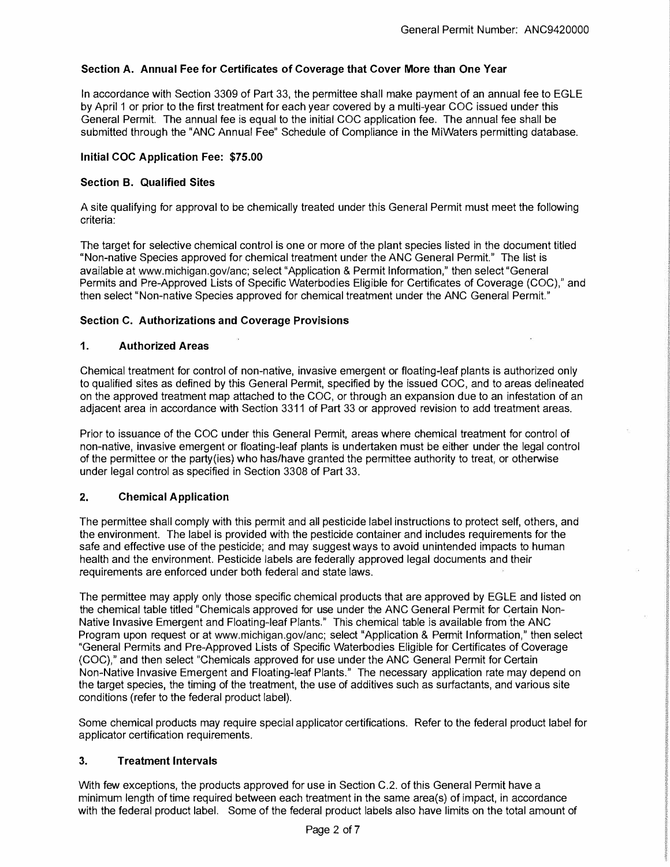## **Section A. Annual Fee for Certificates of Coverage that Cover More than One Year**

In accordance with Section 3309 of Part 33, the permittee shall make payment of an annual fee to EGLE by April 1 or prior to the first treatment for each year covered by a multi-year COG issued under this General Permit. The annual fee is equal to the initial COG application fee. The annual fee shall be submitted through the "ANG Annual Fee" Schedule of Compliance in the MiWaters permitting database.

#### **Initial COC Application Fee: \$75.00**

#### **Section B. Qualified Sites**

A site qualifying for approval to be chemically treated under this General Permit must meet the following criteria:

The target for selective chemical control is one or more of the plant species listed in the document titled "Non-native Species approved for chemical treatment under the ANG General Permit." The list is available at www.michigan.gov/anc; select "Application & Permit Information," then select "General Permits and Pre-Approved Lists of Specific Waterbodies Eligible for Certificates of Coverage (COG)," and then select "Non-native Species approved for chemical treatment under the ANG General Permit."

#### **Section C. Authorizations and Coverage Provisions**

#### **1. Authorized Areas**

Chemical treatment for control of non-native, invasive emergent or floating-leaf plants is authorized only to qualified sites as defined by this General Permit, specified by the issued COG, and to areas delineated on the approved treatment map attached to the COG, or through an expansion due to an infestation of an adjacent area in accordance with Section 3311 of Part 33 or approved revision to add treatment areas.

Prior to issuance of the COG under this General Permit, areas where chemical treatment for control of non-native, invasive emergent or floating-leaf plants is undertaken must be either under the legal control of the permittee or the party(ies) who has/have granted the permittee authority to treat, or otherwise under legal control as specified in Section 3308 of Part 33.

## **2. Chemical Application**

The permittee shall comply with this permit and all pesticide label instructions to protect self, others, and the environment. The label is provided with the pesticide container and includes requirements for the safe and effective use of the pesticide; and may suggest ways to avoid unintended impacts to human health and the environment. Pesticide labels are federally approved legal documents and their requirements are enforced under both federal and state laws.

The permittee may apply only those specific chemical products that are approved by EGLE and listed on the chemical table titled "Chemicals approved for use under the ANG General Permit for Certain Non-Native Invasive Emergent and Floating-leaf Plants." This chemical table is available from the ANG Program upon request or at www.michigan.gov/anc; select "Application & Permit Information," then select "General Permits and Pre-Approved Lists of Specific Waterbodies Eligible for Certificates of Coverage (COG)," and then select "Chemicals approved for use under the ANG General Permit for Certain Non-Native Invasive Emergent and Floating-leaf Plants." The necessary application rate may depend on the target species, the timing of the treatment, the use of additives such as surfactants, and various site conditions (refer to the federal product label).

Some chemical products may require special applicator certifications. Refer to the federal product label for applicator certification requirements.

#### **3. Treatment Intervals**

With few exceptions, the products approved for use in Section C.2. of this General Permit have a minimum length of time required between each treatment in the same area(s) of impact, in accordance with the federal product label. Some of the federal product labels also have limits on the total amount of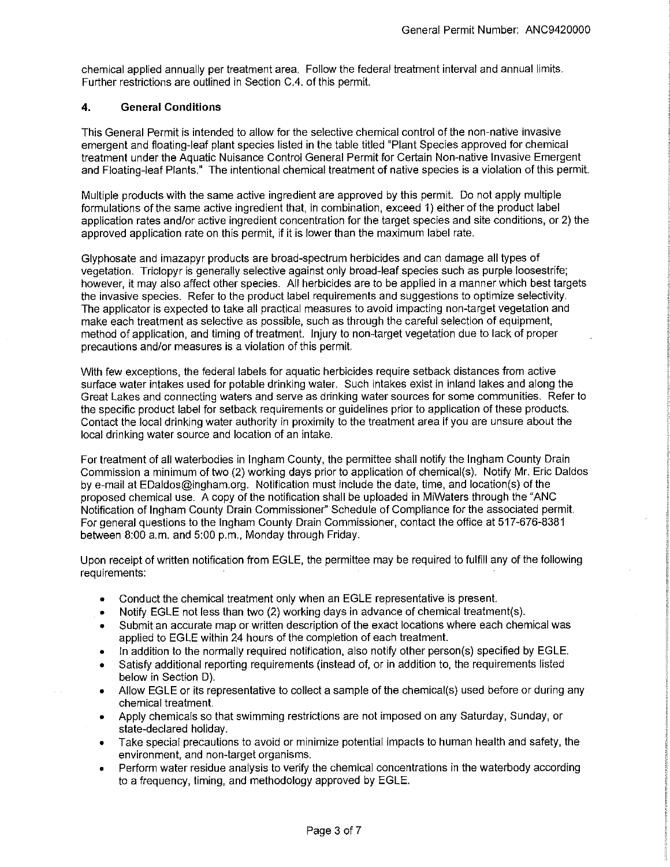chemical applied annually per treatment area. Follow the federal treatment interval and annual limits. Further restrictions are outlined in Section C.4. of this permit.

#### **4. General Conditions**

This General Permit is intended to allow for the selective chemical control of the non-native invasive emergent and floating-leaf plant species listed in the table titled "Plant Species approved for chemical treatment under the Aquatic Nuisance Control General Permit for Certain Non-native Invasive Emergent and Floating-leaf Plants." The intentional chemical treatment of native species is a violation of this permit.

Multiple products with the same active ingredient are approved by this permit. Do not apply multiple formulations of the same active ingredient that, in combination, exceed 1) either of the product label application rates and/or active ingredient concentration for the target species and site conditions, or 2) the approved application rate on this permit, if it is lower than the maximum label rate.

Glyphosate and imazapyr products are broad-spectrum herbicides and can damage all types of vegetation. Triclopyr is generally selective against only broad-leaf species such as purple loosestrife; however, it may also affect other species. All herbicides are to be applied in a manner which best targets the invasive species. Refer to the product label requirements and suggestions to optimize selectivity. The applicator is expected to take all practical measures to avoid impacting non-target vegetation and make each treatment as selective as possible, such as through the careful selection of equipment, method of application, and timing of treatment. Injury to non-target vegetation due to lack of proper precautions and/or measures is a violation of this permit.

With few exceptions, the federal labels for aquatic herbicides require setback distances from active surface water intakes used for potable drinking water. Such intakes exist in inland lakes and along the Great Lakes and connecting waters and serve as drinking water sources for some communities. Refer to the specific product label for setback requirements or guidelines prior to application of these products. Contact the local drinking water authority in proximity to the treatment area if you are unsure about the local drinking water source and location of an intake.

For treatment of all waterbodies in Ingham County, the permittee shall notify the Ingham County Drain Commission a minimum of two (2) working days prior to application of chemical(s). Notify Mr. Eric Daldos by e-mail at EDaldos@ingham.org. Notification must include the date, time, and location(s) of the proposed chemical use. A copy of the notification shall be uploaded in MiWaters through the "ANC Notification of Ingham County Drain Commissioner'' Schedule of Compliance for the associated permit. For general questions to the Ingham County Drain Commissioner, contact the office at 517-676-8381 between 8:00 a.m. and 5:00 p.m., Monday through Friday.

Upon receipt of written notification from EGLE, the permittee may be required to fulfill any of the following requirements:

- Conduct the chemical treatment only when an EGLE representative is present.
- Notify EGLE not less than two (2) working days in advance of chemical treatment(s).
- Submit an accurate map or written description of the exact locations where each chemical was applied to EGLE within 24 hours of the completion of each treatment.
- In addition to the normally required notification, also notify other person(s) specified by EGLE.
- Satisfy additional reporting requirements (instead of, or in addition to, the requirements listed below in Section D).
- Allow EGLE or its representative to collect a sample of the chemical(s) used before or during any chemical treatment.
- Apply chemicals so that swimming restrictions are not imposed on any Saturday, Sunday, or state-declared holiday.
- Take special precautions to avoid or minimize potential impacts to human health and safety, the environment, and non-target organisms.
- Perform water residue analysis to verify the chemical concentrations in the waterbody according to a frequency, timing, and methodology approved by EGLE.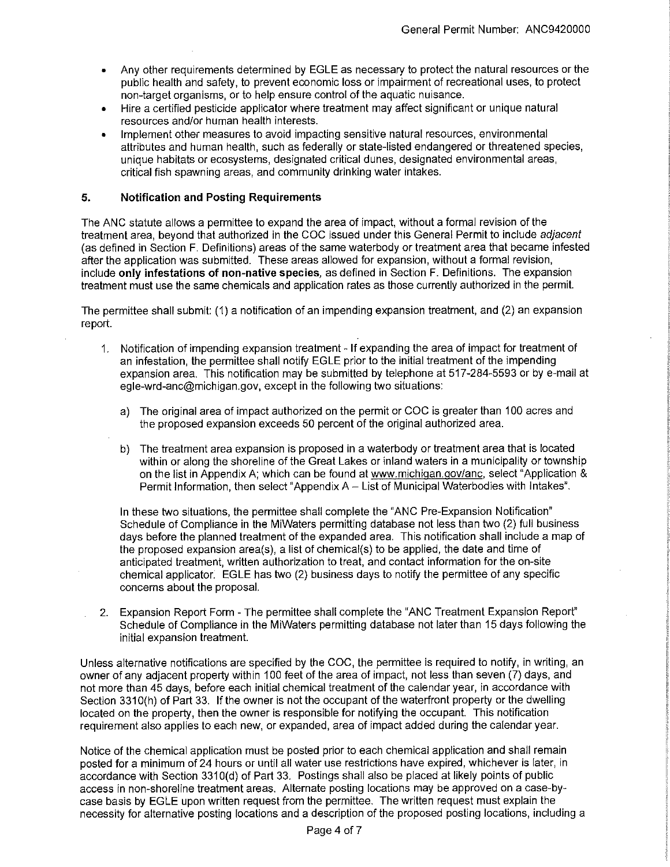- Any other requirements determined by EGLE as necessary to protect the natural resources or the public health and safety, to prevent economic loss or impairment of recreational uses, to protect non-target organisms, or to help ensure control of the aquatic nuisance.
- Hire a certified pesticide applicator where treatment may affect significant or unique natural resources and/or human health interests.
- Implement other measures to avoid impacting sensitive natural resources, environmental attributes and human health, such as federally or state-listed endangered or threatened species, unique habitats or ecosystems, designated critical dunes, designated environmental areas, critical fish spawning areas, and community drinking water intakes.

#### **5. Notification and Posting Requirements**

The ANC statute allows a permittee to expand the area of impact, without a formal revision of the treatment area, beyond that authorized in the COC issued under this General Permit to include adjacent (as defined in Section F. Definitions) areas of the same waterbody or treatment area that became infested after the application was submitted. These areas allowed for expansion, without a formal revision, include **only infestations of non-native species,** as defined in Section F. Definitions. The expansion treatment must use the same chemicals and application rates as those currently authorized in the permit.

The permittee shall submit: (1) a notification of an impending expansion treatment, and (2) an expansion report.

- 1. Notification of impending expansion treatment If expanding the area of impact for treatment of an infestation, the permittee shall notify EGLE prior to the initial treatment of the impending expansion area. This notification may be submitted by telephone at 517-284-5593 or by e-mail at egle-wrd-anc@michigan.gov, except in the following two situations:
	- a) The original area of impact authorized on the permit or COC is greater than 100 acres and the proposed expansion exceeds 50 percent of the original authorized area.
	- b) The treatment area expansion is proposed in a waterbody or treatment area that is located within or along the shoreline of the Great Lakes or inland waters in a municipality or township on the list in Appendix A; which can be found at www.michigan.gov/anc, select "Application & Permit Information, then select "Appendix A- List of Municipal Waterbodies with Intakes".

In these two situations, the permittee shall complete the "ANC Pre-Expansion Notification" Schedule of Compliance in the MiWaters permitting database not less than two (2) full business days before the planned treatment of the expanded area. This notification shall include a map of the proposed expansion area(s), a list of chemical(s) to be applied, the date and lime of anticipated treatment, written authorization to treat, and contact information for the on-site chemical applicator. EGLE has two (2) business days to notify the permittee of any specific concerns about the proposal.

2. Expansion Report Form - The permittee shall complete the "ANG Treatment Expansion Report" Schedule of Compliance in the MiWaters permitting database not later than 15 days following the initial expansion treatment.

Unless alternative notifications are specified by the COC, the permittee is required to notify, in writing, an owner of any adjacent property within 100 feet of the area of impact, not less than seven (7) days, and not more than 45 days, before each initial chemical treatment of the calendar year, in accordance with Section 3310(h) of Part 33. If the owner is not the occupant of the waterfront property or the dwelling located on the property, then the owner is responsible for notifying the occupant. This notification requirement also applies to each new, or expanded, area of impact added during the calendar year.

Notice of the chemical application must be posted prior to each chemical application and shall remain posted for a minimum of 24 hours or until all water use restrictions have expired, whichever is later, in accordance with Section 3310(d) of Part 33. Postings shall also be placed at likely points of public access in non-shoreline treatment areas. Alternate posting locations may be approved on a case-bycase basis by EGLE upon written request from the permittee. The written request must explain the necessity for alternative posting locations and a description of the proposed posting locations, including a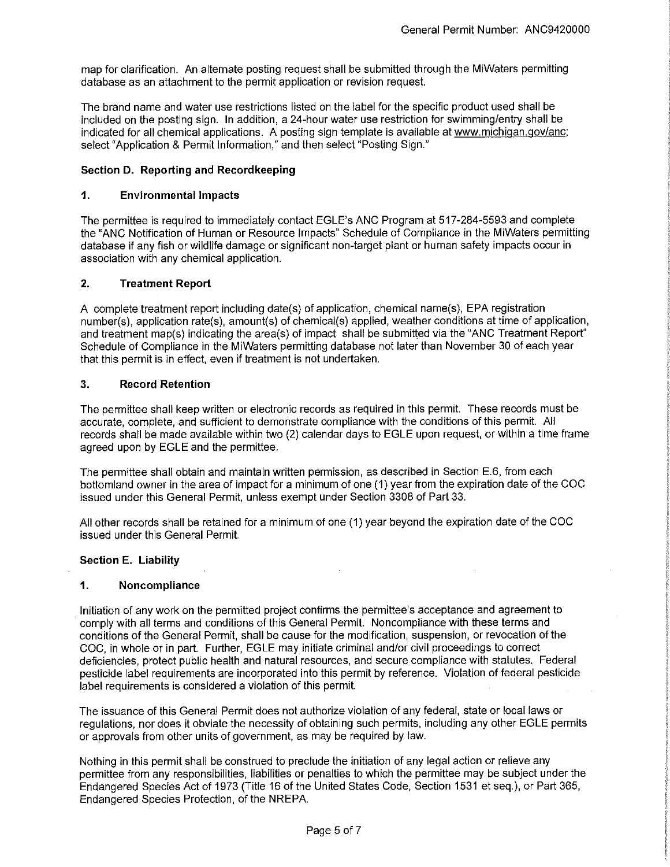map for clarification. An alternate posting request shall be submitted through the MiWaters permitting database as an attachment to the permit application or revision request.

The brand name and water use restrictions listed on the label for the specific product used shall be included on the posting sign. In addition, a 24-hour water use restriction for swimming/entry shall be indicated for all chemical applications. A posting sign template is available at www.michigan.gov/anc; select "Application & Permit Information," and then select "Posting Sign."

#### **Section D. Reporting and Recordkeeping**

#### **1. Environmental Impacts**

The permittee is required to immediately contact EGLE's ANG Program at 517-284-5593 and complete the "ANG Notification of Human or Resource Impacts" Schedule of Compliance in the MiWaters permitting database if any fish or wildlife damage or significant non-target plant or human safety impacts occur in association with any chemical application.

#### **2. Treatment Report**

A complete treatment report including date(s) of application, chemical name(s), EPA registration number(s), application rate(s), amount(s) of chemical(s) applied, weather conditions at time of application, and treatment map(s) indicating the area(s) of impact shall be submitted via the "ANG Treatment Report" Schedule of Compliance in the MiWaters permitting database not later than November 30 of each year that this permit is in effect, even if treatment is not undertaken.

#### **3. Record Retention**

The permittee shall keep written or electronic records as required in this permit. These records must be accurate, complete, and sufficient to demonstrate compliance with the conditions of this permit. All records shall be made available within two (2) calendar days to EGLE upon request, or within a time frame agreed upon by EGLE and the permittee.

The permittee shall obtain and maintain written permission, as described in Section E.6, from each bottomland owner in the area of impact for a minimum of one (1) year from the expiration date of the COG issued under this General Permit, unless exempt under Section 3308 of Part 33.

All other records shall be retained for a minimum of one (1) year beyond the expiration date of the COG issued under this General Permit.

#### **Section E. Liability**

#### **1. Noncompliance**

Initiation of any work on the permitted project confirms the permittee's acceptance and agreement to comply with all terms and conditions of this General Permit. Noncompliance with these terms and conditions of the General Permit, shall be cause for the modification, suspension, or revocation of the COG, in whole or in part. Further, EGLE may initiate criminal and/or civil proceedings to correct deficiencies, protect public health and natural resources, and secure compliance with statutes. Federal pesticide label requirements are incorporated into this permit by reference. Violation of federal pesticide label requirements is considered a violation of this permit.

The issuance of this General Permit does not authorize violation of any federal, state or local laws or regulations, nor does it obviate the necessity of obtaining such permits, including any other EGLE permits or approvals from other units of government, as may be required by law.

Nothing in this permit shall be construed to preclude the initiation of any legal action or relieve any permittee from any responsibilities, liabilities or penalties to which the permittee may be subject under the Endangered Species Act of 1973 (Title 16 of the United States Code, Section 1531 et seq.), or Part 365, Endangered Species Protection, of the NREPA.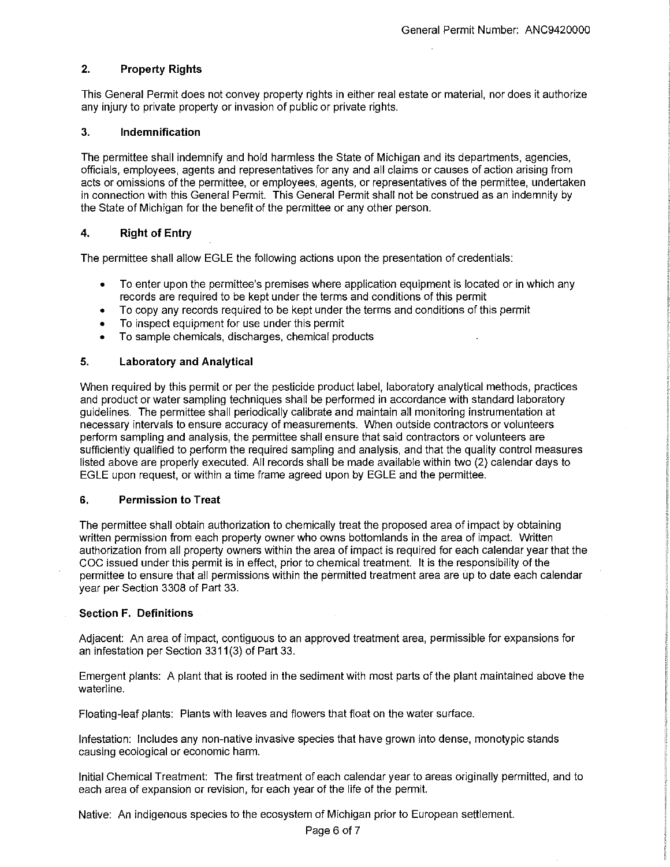## **2. Property Rights**

This General Permit does not convey property rights in either real estate or material, nor does it authorize any injury to private property or invasion of public or private rights.

#### **3. Indemnification**

The permittee shall indemnify and hold harmless the State of Michigan and its departments, agencies, officials, employees, agents and representatives for any and all claims or causes of action arising from acts or omissions of the permittee, or employees, agents, or representatives of the permittee, undertaken in connection with this General Permit. This General Permit shall not be construed as an indemnity by the State of Michigan for the benefit of the permittee or any other person.

## **4. Right of Entry**

The permittee shall allow EGLE the following actions upon the presentation of credentials:

- To enter upon the permittee's premises where application equipment is located or in which any records are required to be kept under the terms and conditions of this permit
- To copy any records required to be kept under the terms and conditions of this permit
- To inspect equipment for use under this permit
- To sample chemicals, discharges, chemical products

#### **5. Laboratory and Analytical**

When required by this permit or per the pesticide product label, laboratory analytical methods, practices and product or water sampling techniques shall be performed in accordance with standard laboratory guidelines. The permittee shall periodically calibrate and maintain all monitoring instrumentation at necessary intervals to ensure accuracy of measurements. When outside contractors or volunteers perform sampling and analysis, the permittee shall ensure that said contractors or volunteers are sufficiently qualified to perform the required sampling and analysis, and that the quality control measures listed above are properly executed. All records shall be made available within two (2) calendar days to EGLE upon request, or within a time frame agreed upon by EGLE and the permittee.

#### **6. Permission to Treat**

The permittee shall obtain authorization to chemically treat the proposed area of impact by obtaining written permission from each property owner who owns bottomlands in the area of impact. Written authorization from all property owners within the area of impact is required for each calendar year that the COG issued under this permit is in effect, prior to chemical treatment. It is the responsibility of the permittee to ensure that all permissions within the permitted treatment area are up to date each calendar year per Section 3308 of Part 33.

#### **Section F. Definitions**

Adjacent: An area of impact, contiguous to an approved treatment area, permissible for expansions for an infestation per Section 3311(3) of Part 33.

Emergent plants: A plant that is rooted in the sediment with most parts of the plant maintained above the waterline.

Floating-leaf plants: Plants with leaves and flowers that float on the water surface.

Infestation: Includes any non-native invasive species that have grown into dense, monotypic stands causing ecological or economic harm.

Initial Chemical Treatment: The first treatment of each calendar year to areas originally permitted, and to each area of expansion or revision, for each year of the life of the permit.

Native: An indigenous species to the ecosystem of Michigan prior to European settlement.